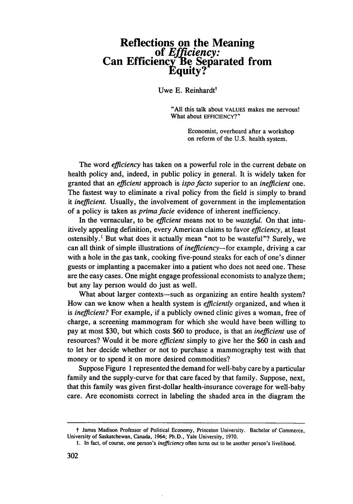# **Reflections on the Meaning of** *Efciency:* **Can Efficiency Be Separated from Equity?**

Uwe E. Reinhardt<sup>†</sup>

"All this talk about VALUES makes me nervous! What about EFFICIENCY?"

> Economist, overheard after a workshop on reform of the U.S. health system.

The word *efficiency* has taken on a powerful role in the current debate on health policy and, indeed, in public policy in general. It is widely taken for granted that an *efficient* approach is *ispo facto* superior to an *inefficient* one. The fastest way to eliminate a rival policy from the field is simply to brand it *inefficient.* Usually, the involvement of government in the implementation of a policy is taken as *prima facie* evidence of inherent inefficiency.

In the vernacular, to be *efficient* means not to be *wasteful.* On that intuitively appealing definition, every American claims to favor *efficiency,* at least ostensibly.' But what does it actually mean "not to be wasteful"? Surely, we can all think of simple illustrations of *inefficiency-for* example, driving a car with a hole in the gas tank, cooking five-pound steaks for each of one's dinner guests or implanting a pacemaker into a patient who does not need one. These are the easy cases. One might engage professional economists to analyze them; but any lay person would do just as well.

What about larger contexts—such as organizing an entire health system? How can we know when a health system is *efficiently* organized, and when it is *inefficient?* For example, if a publicly owned clinic gives a woman, free of charge, a screening mammogram for which she would have been willing to pay at most \$30, but which costs \$60 to produce, is that an *inefficient* use of resources? Would it be more *efficient* simply to give her the \$60 in cash and to let her decide whether or not to purchase a mammography test with that money or to spend it on more desired commodities?

Suppose Figure 1 represented the demand for well-baby care by a particular family and the supply-curve for that care faced by that family. Suppose, next, that this family was given first-dollar health-insurance coverage for well-baby care. Are economists correct in labeling the shaded area in the diagram the

t James Madison Professor of Political Economy, Princeton University. Bachelor of Commerce, University of Saskatchewan, Canada, 1964; Ph.D., Yale University, 1970,

<sup>1.</sup> In fact, of course, one person's *inefficiency* often turns out to be another person's livelihood.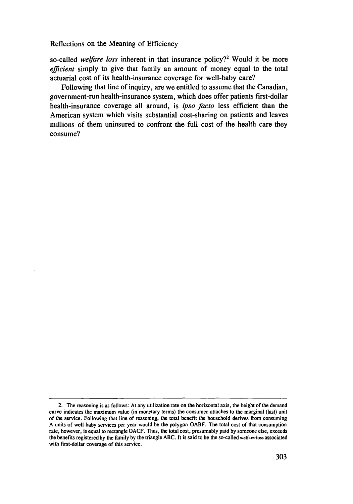so-called *welfare loss* inherent in that insurance policy?<sup>2</sup> Would it be more *efficient* simply to give that family an amount of money equal to the total actuarial cost of its health-insurance coverage for well-baby care?

Following that line of inquiry, are we entitled to assume that the Canadian, government-run health-insurance system, which does offer patients first-dollar health-insurance coverage all around, is *ipso facto* less efficient than the American system which visits substantial cost-sharing on patients and leaves millions of them uninsured to confront the full cost of the health care they consume?

<sup>2.</sup> The reasoning is as follows: At any utilization rate on the horizontal axis, the height of the demand curve indicates the maximum value (in monetary terms) the consumer attaches to the marginal (last) unit of the service. Following that line of reasoning, the total benefit the household derives from consuming **A** units of well-baby services per year would be the polygon OABF. The total cost of that consumption rate, however, is equal to rectangle **OACF.** Thus, the total cost, presumably paid **by** someone else, exceeds the benefits registered **by** the family **by** the triangle **ABC.** It is said to be the so-called welfare-loss associated with first-dollar coverage of this service.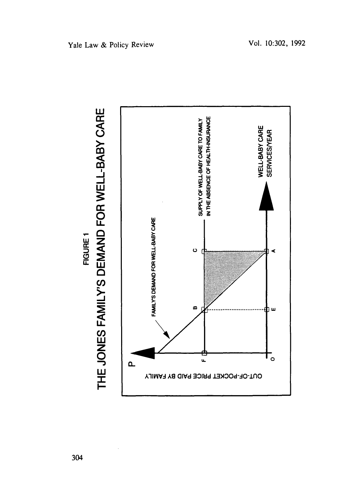

THE JONES FAMILY'S DEMAND FOR WELL-BABY CARE FIGURE 1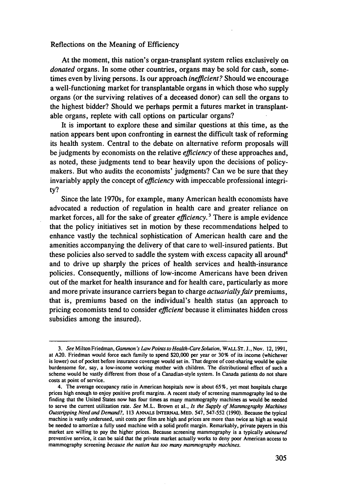At the moment, this nation's organ-transplant system relies exclusively on *donated* organs. In some other countries, organs may be sold for cash, sometimes even by living persons. Is our approach *inefficient?* Should we encourage a well-functioning market for transplantable organs in which those who supply organs (or the surviving relatives of a deceased donor) can sell the organs to the highest bidder? Should we perhaps permit a futures market in transplantable organs, replete with call options on particular organs?

It is important to explore these and similar questions at this time, as the nation appears bent upon confronting in earnest the difficult task of reforming its health system. Central to the debate on alternative reform proposals will be judgments by economists on the relative *efficiency* of these approaches and, as noted, these judgments tend to bear heavily upon the decisions of policymakers. But who audits the economists' judgments? Can we be sure that they invariably apply the concept of *efficiency* with impeccable professional integrity?

Since the late 1970s, for example, many American health economists have advocated a reduction of regulation in health care and greater reliance on market forces, all for the sake of greater *efficiency. 3* There is ample evidence that the policy initiatives set in motion by these recommendations helped to enhance vastly the technical sophistication of American health care and the amenities accompanying the delivery of that care to well-insured patients. But these policies also served to saddle the system with excess capacity all around<sup>4</sup> and to drive up sharply the prices of health services and health-insurance policies. Consequently, millions of low-income Americans have been driven out of the market for health insurance and for health care, particularly as more and more private insurance carriers began to charge *actuarially fair* premiums, that is, premiums based on the individual's health status (an approach to pricing economists tend to consider *efficient* because it eliminates hidden cross subsidies among the insured).

*<sup>3.</sup> See* Milton Friedman, *Gammon's LawPoints to Health-Care Solution,* WALL **ST.** J., Nov. 12, 1991, at A20. Friedman would force each family to spend \$20,000 per year or 30% of its income (whichever is lower) out of pocket before insurance coverage would set in. That degree of cost-sharing would be quite burdensome for, say, a low-income working mother with children. The distributional effect of such a scheme would be vastly different from those of a Canadian-style system. In Canada patients do not share costs at point of service.

<sup>4.</sup> The average occupancy ratio in American hospitals now is about 65%, yet most hospitals charge prices high enough to enjoy positive profit margins. A recent study of screening mammography led to the finding that the United States now has four times as many mammography machines as would be needed to serve the current utilization rate. *See* M.L. Brown et al., *Is the Supply of Mammography Machines Outstripping Need and Demand?,* 113 ANNALS **INTERNAL** MED. 547, 547-552 (1990). Because the typical machine is vastly underused, unit costs per film are high and prices are more than twice as high as would be needed to amortize a fully used machine with a solid profit margin. Remarkably, private payers in this market are willing to pay the higher prices. Because screening mammography is a typically *uninsured* preventive service, it can be said that the private market actually works to deny poor American access to mammography screening *because the nation has too many mammography machines.*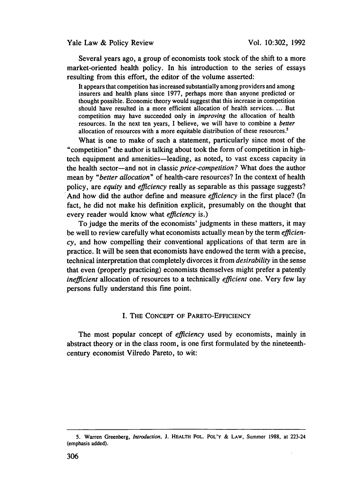Several years ago, a group of economists took stock of the shift to a more market-oriented health policy. In his introduction to the series of essays resulting from this effort, the editor of the volume asserted:

It appears that competition has increased substantially among providers and among insurers and health plans since 1977, perhaps more than anyone predicted or thought possible. Economic theory would suggest that this increase in competition should have resulted in a more efficient allocation of health services. ... But competition may have succeeded only in *improving* the allocation of health resources. In the next ten years, I believe, we will have to combine a *better* allocation of resources with a more equitable distribution of these resources.<sup>5</sup>

What is one to make of such a statement, particularly since most of the "competition" the author is talking about took the form of competition in hightech equipment and amenities-leading, as noted, to vast excess capacity in the health sector-and not in classic *price-competition?* What does the author mean by *"better allocation"* of health-care resources? In the context of health policy, are *equity* and *efficiency* really as separable as this passage suggests? And how did the author define and measure *efficiency* in the first place? (In fact, he did not make his definition explicit, presumably on the thought that every reader would know what *efficiency* is.)

To judge the merits of the economists' judgments in these matters, it may be well to review carefully what economists actually mean by the term *efficiency,* and how compelling their conventional applications of that term are in practice. It will be seen that economists have endowed the term with a precise, technical interpretation that completely divorces it from *desirability* in the sense that even (properly practicing) economists themselves might prefer a patently *inefficient* allocation of resources to a technically *efficient* one. Very few lay persons fully understand this fine point.

### I. THE CONCEPT OF PARETO-EFFICIENCY

The most popular concept of *efficiency* used **by** economists, mainly in abstract theory or in the class room, is one first formulated **by** the nineteenthcentury economist Vilredo Pareto, to wit:

<sup>5.</sup> Warren Greenberg, *Introduction,* **J. HEALTH POL. POL'Y** & LAW, Summer **1988,** at 223-24 (emphasis added).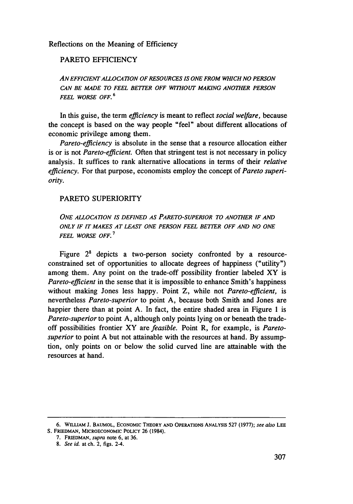# PARETO EFFICIENCY

*AN EFFICIENT ALLOCATION OF RESOURCES IS ONE FROM WHICH NO PERSON CAN BE MADE TO FEEL BETTER OFF WITHOUT MAKING ANOTHER PERSON FEEL WORSE OFF. <sup>6</sup>*

In this guise, the term *efficiency* is meant to reflect *social welfare,* because the concept is based on the way people "feel" about different allocations of economic privilege among them.

*Pareto-efficiency* is absolute in the sense that a resource allocation either is or is not *Pareto-efficient.* Often that stringent test is not necessary in policy analysis. It suffices to rank alternative allocations in terms of their *relative efficiency.* For that purpose, economists employ the concept of *Pareto superiority.*

#### PARETO SUPERIORITY

*ONE ALLOCATION IS DEFINED AS PARETO-SUPERIOR TO ANOTHER IF AND ONLY IF IT MAKES AT LEAST ONE PERSON FEEL BETTER OFF AND NO ONE FEEL WORSE OFF. <sup>7</sup>*

Figure  $2<sup>8</sup>$  depicts a two-person society confronted by a resourceconstrained set of opportunities to allocate degrees of happiness ("utility") among them. Any point on the trade-off possibility frontier labeled XY is *Pareto-efficient* in the sense that it is impossible to enhance Smith's happiness without making Jones less happy. Point Z, while not *Pareto-efficient,* is nevertheless *Pareto-superior* to point A, because both Smith and Jones are happier there than at point A. In fact, the entire shaded area in Figure 1 is *Pareto-superior* to point A, although only points lying on or beneath the tradeoff possibilities frontier XY are *feasible.* Point R, for example, is *Paretosuperior* to point A but not attainable with the resources at hand. By assumption, only points on or below the solid curved line are attainable with the resources at hand.

**6.** WILLIAM **J. BAUMOL,** ECONOMIC THEORY **AND** OPERATIONS ANALYSIS **527** (1977); *see also* **LEE** S. **FRIEDMAN, MICROECONOMIC** POLICY 26 (1984).

<sup>7.</sup> FRIEDMAN, *supra* note 6, at 36.

*<sup>8.</sup> See id.* at **ch.** 2, figs. 2-4.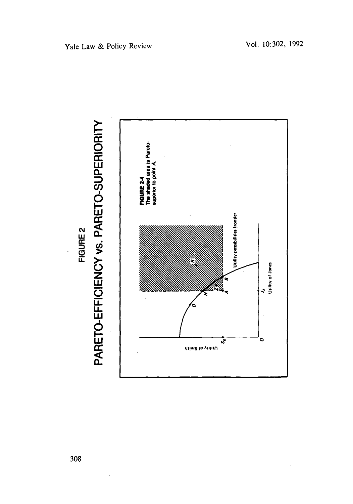

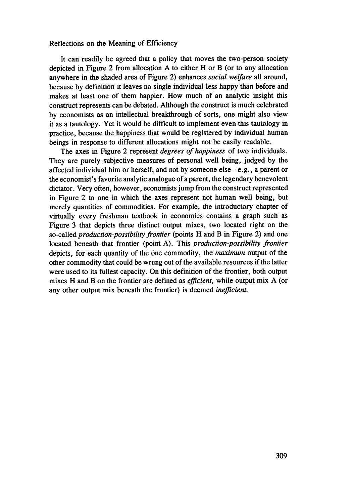It can readily be agreed that a policy that moves the two-person society depicted in Figure 2 from allocation A to either H or B (or to any allocation anywhere in the shaded area of Figure 2) enhances *social welfare* all around, because by definition it leaves no single individual less happy than before and makes at least one of them happier. How much of an analytic insight this construct represents can be debated. Although the construct is much celebrated by economists as an intellectual breakthrough of sorts, one might also view it as a tautology. Yet it would be difficult to implement even this tautology in practice, because the happiness that would be registered by individual human beings in response to different allocations might not be easily readable.

The axes in Figure 2 represent *degrees of happiness* of two individuals. They are purely subjective measures of personal well being, judged by the affected individual him or herself, and not by someone else-e.g., a parent or the economist's favorite analytic analogue of a parent, the legendary benevolent dictator. Very often, however, economists jump from the construct represented in Figure 2 to one in which the axes represent not human well being, but merely quantities of commodities. For example, the introductory chapter of virtually every freshman textbook in economics contains a graph such as Figure 3 that depicts three distinct output mixes, two located right on the so-called *production-possibility frontier* (points H and B in Figure 2) and one located beneath that frontier (point A). This *production-possibility frontier* depicts, for each quantity of the one commodity, the *maximum* output of the other commodity that could be wrung out of the available resources if the latter were used to its fullest capacity. On this definition of the frontier, both output mixes H and B on the frontier are defined as *efficient,* while output mix A (or any other output mix beneath the frontier) is deemed *inefficient.*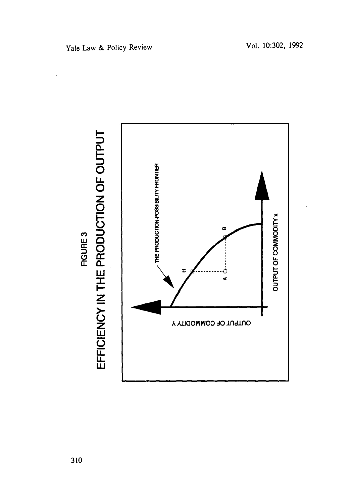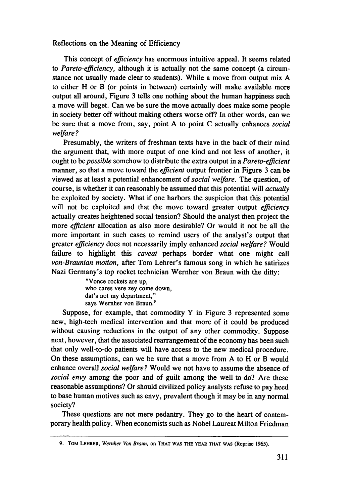This concept of *efficiency* has enormous intuitive appeal. It seems related to *Pareto-efficiency,* although it is actually not the same concept (a circumstance not usually made clear to students). While a move from output mix A to either H or B (or points in between) certainly will make available more output all around, Figure 3 tells one nothing about the human happiness such a move will beget. Can we be sure the move actually does make some people in society better off without making others worse off? In other words, can we be sure that a move from, say, point A to point C actually enhances *social welfare* **?**

Presumably, the writers of freshman texts have in the back of their mind the argument that, with more output of one kind and not less of another, it ought to *bepossible* somehow to distribute the extra output in a *Pareto-efficient* manner, so that a move toward the *efficient* output frontier in Figure 3 can be viewed as at least a potential enhancement of *social welfare.* The question, of course, is whether it can reasonably be assumed that this potential will *actually* be exploited by society. What if one harbors the suspicion that this potential will not be exploited and that the move toward greater output *efficiency* actually creates heightened social tension? Should the analyst then project the more *efficient* allocation as also more desirable? Or would it not be all the more important in such cases to remind users of the analyst's output that greater *efficiency* does not necessarily imply enhanced *social welfare?* Would failure to highlight this *caveat* perhaps border what one might call *von-Braunian motion,* after Tom Lehrer's famous song in which he satirizes Nazi Germany's top rocket technician Wernher von Braun with the ditty:

> "Vonce rockets are up, who cares vere zey come down, dat's not my department," says Wernher von Braun.<sup>9</sup>

Suppose, for example, that commodity Y in Figure 3 represented some new, high-tech medical intervention and that more of it could be produced without causing reductions in the output of any other commodity. Suppose next, however, that the associated rearrangement of the economy has been such that only well-to-do patients will have access to the new medical procedure. On these assumptions, can we be sure that a move from A to H or B would enhance overall *social welfare?* Would we not have to assume the absence of *social envy* among the poor and of guilt among the well-to-do? Are these reasonable assumptions? Or should civilized policy analysts refuse to pay heed to base human motives such as envy, prevalent though it may be in any normal society?

These questions are not mere pedantry. They go to the heart of contemporary health policy. When economists such as Nobel Laureat Milton Friedman

**<sup>9.</sup> ToM LEHRER,** *Wernher Von Braun,* **on THAT WAS THE YEAR THAT WAS** (Reprise **1965).**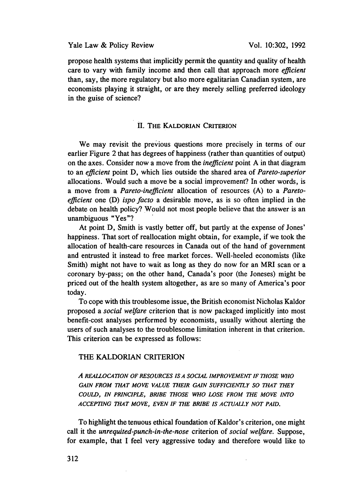Yale Law & Policy Review

propose health systems that implicitly permit the quantity and quality of health care to vary with family income and then call that approach more *efficient* than, say, the more regulatory but also more egalitarian Canadian system, are economists playing it straight, or are they merely selling preferred ideology in the guise of science?

# Ii. THE KALDORIAN CRITERION

We may revisit the previous questions more precisely in terms of our earlier Figure 2 that has degrees of happiness (rather than quantities of output) on the axes. Consider now a move from the *inefficient* point A in that diagram to an *efficient* point D, which lies outside the shared area of *Pareto-superior* allocations. Would such a move be a social improvement? In other words, is a move from a *Pareto-inefficient* allocation of resources (A) to a *Paretoefficient* one (D) *ispo facto* a desirable move, as is so often implied in the debate on health policy? Would not most people believe that the answer is an unambiguous "Yes"?

At point D, Smith is vastly better off, but partly at the expense of Jones' happiness. That sort of reallocation might obtain, for example, if we took the allocation of health-care resources in Canada out of the hand of government and entrusted it instead to free market forces. Well-heeled economists (like Smith) might not have to wait as long as they do now for an MRI scan or a coronary by-pass; on the other hand, Canada's poor (the Joneses) might be priced out of the health system altogether, as are so many of America's poor today.

To cope with this troublesome issue, the British economist Nicholas Kaldor proposed a *social welfare* criterion that is now packaged implicitly into most benefit-cost analyses performed by economists, usually without alerting the users of such analyses to the troublesome limitation inherent in that criterion. This criterion can be expressed as follows:

# THE KALDORIAN CRITERION

*A REALLOCATION OF RESOURCES IS A SOCIAL IMPROVEMENT IF THOSE WHO GAIN FROM THAT MOVE VALUE THEIR GAIN SUFFICIENTLY SO THAT THEY COULD, IN PRINCIPLE, BRIBE THOSE WHO LOSE FROM THE MOVE INTO ACCEPTING THAT MOVE, EVEN IF THE BRIBE IS ACTUALLY NOT PAID.*

To highlight the tenuous ethical foundation of Kaldor's criterion, one might call it the *unrequited-punch-in-the-nose* criterion of *social welfare.* Suppose, for example, that I feel very aggressive today and therefore would like to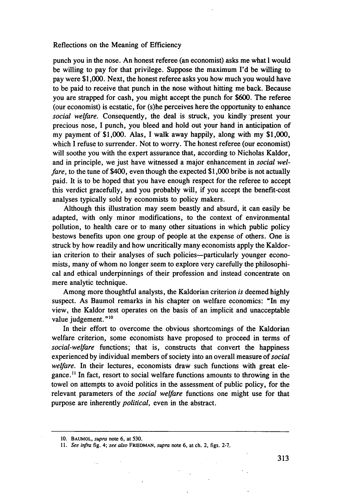punch you in the nose. An honest referee (an economist) asks me what **I** would be willing to pay for that privilege. Suppose the maximum I'd be willing to pay were \$1,000. Next, the honest referee asks you how much you would have to be paid to receive that punch in the nose without hitting me back. Because you are strapped for cash, you might accept the punch for \$600. The referee (our economist) is ecstatic, for (s)he perceives here the opportunity to enhance *social welfare.* Consequently, the deal is struck, you kindly -present your precious nose, I punch, you bleed and hold out your hand in anticipation of my payment of \$1,000. Alas, I walk away happily, along with my \$1,000, which I refuse to surrender. Not to worry. The honest referee (our economist) will soothe you with the expert assurance that, according to Nicholas Kaldor, and in principle, we just have witnessed a major enhancement in *social welfare,* to the tune of \$400, even though the expected \$1,000 bribe is not actually paid. It is to be hoped that you have enough respect for the referee to accept this verdict gracefully, and you probably will, if you accept the benefit-cost analyses typically sold by economists to policy makers.

Although this illustration may seem beastly and absurd, it can easily be adapted, with only minor modifications, to the context of environmental pollution, to health care or to many other situations in which public policy bestows benefits upon one group of people at the expense of others. One is struck by how readily and how uncritically many economists apply the Kaldorian criterion to their analyses of such policies—particularly younger economists, many of whom no longer seem to explore very carefully the philosophical and ethical underpinnings of their profession and instead concentrate on mere analytic technique.

Among more thoughtful analysts, the Kaldorian criterion *is* deemed highly suspect. As Baumol remarks in his chapter on welfare economics: "In my view, the Kaldor test operates on the basis of an implicit and unacceptable value judgement.<sup>"10</sup>

In their effort to overcome the obvious shortcomings of the Kaldorian welfare criterion, some economists have proposed to proceed in terms of *social-welfare* functions; that is, constructs that convert the happiness experienced by individual members of society into an overall measure of *social welfare.* In their lectures, economists draw such functions with great elegance.<sup>11</sup> In fact, resort to social welfare functions amounts to throwing in the towel on attempts to avoid politics in the assessment of public policy, for the relevant parameters of the *social welfare* functions one might use for that purpose are inherently *political,* even in the abstract.

 $\sim 10^7$ 

 $\sim 100$ 

<sup>10.</sup> **BAUMOL,** *supra* note 6, at 530.

<sup>11.</sup> *See infra* fig. 4; *see also* FRIEDMAN, *supra* note 6, at ch. 2, figs. 2-7.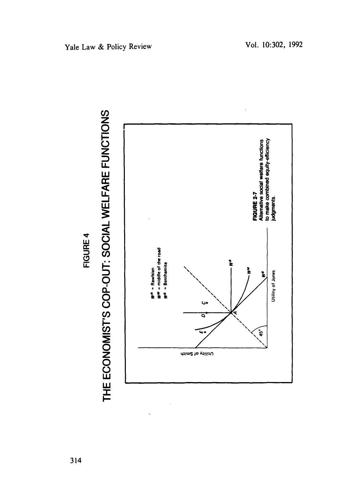